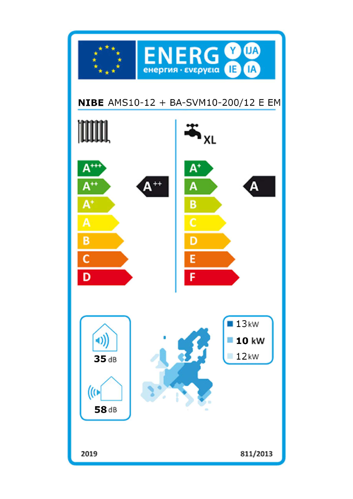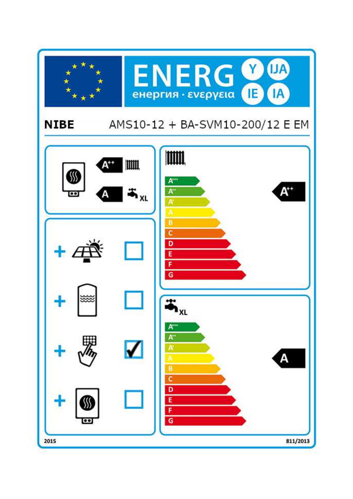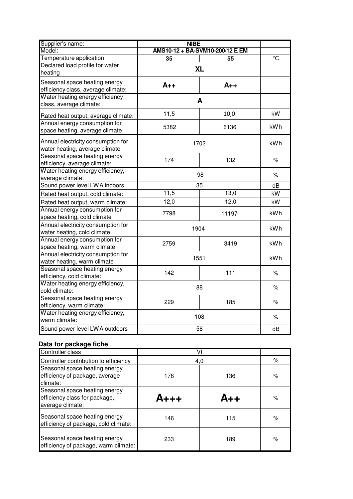| Supplier's name:                                                     | <b>NIBE</b>                     |       |                |
|----------------------------------------------------------------------|---------------------------------|-------|----------------|
| Model:                                                               | AMS10-12 + BA-SVM10-200/12 E EM |       |                |
| Temperature application                                              | 35                              | 55    | $\overline{c}$ |
| Declared load profile for water<br>heating                           | <b>XL</b>                       |       |                |
| Seasonal space heating energy                                        |                                 |       |                |
| efficiency class, average climate:                                   | $A++$                           | $A++$ |                |
| Water heating energy efficiency<br>class, average climate:           | A                               |       |                |
| Rated heat output, average climate:                                  | 11,5                            | 10,0  | kW             |
| Annual energy consumption for<br>space heating, average climate      | 5382                            | 6136  | kWh            |
| Annual electricity consumption for<br>water heating, average climate | 1702                            |       | kWh            |
| Seasonal space heating energy<br>efficiency, average climate:        | 174                             | 132   | $\%$           |
| Water heating energy efficiency,<br>average climate:                 | 98                              |       | $\%$           |
| Sound power level LWA indoors                                        | 35                              |       | dB             |
| Rated heat output, cold climate:                                     | 11,5                            | 13,0  | kW             |
| Rated heat output, warm climate:                                     | 12,0                            | 12,0  | kW             |
| Annual energy consumption for<br>space heating, cold climate         | 7798                            | 11197 | <b>kWh</b>     |
| Annual electricity consumption for<br>water heating, cold climate    | 1904                            |       | kWh            |
| Annual energy consumption for<br>space heating, warm climate         | 2759                            | 3419  | kWh            |
| Annual electricity consumption for<br>water heating, warm climate    | 1551                            |       | kWh            |
| Seasonal space heating energy<br>efficiency, cold climate:           | 142                             | 111   | $\%$           |
| Water heating energy efficiency,<br>cold climate:                    | 88                              |       | $\%$           |
| Seasonal space heating energy<br>efficiency, warm climate:           | 229                             | 185   | $\%$           |
| Water heating energy efficiency,<br>warm climate:                    | 108                             | $\%$  |                |
| Sound power level LWA outdoors                                       | 58                              |       | dB             |

## **Data for package fiche**

| Controller class                                                                   |     |     |      |
|------------------------------------------------------------------------------------|-----|-----|------|
| Controller contribution to efficiency                                              | 4,0 |     | %    |
| Seasonal space heating energy<br>efficiency of package, average<br>climate:        | 178 | 136 | $\%$ |
| Seasonal space heating energy<br>efficiency class for package,<br>average climate: |     |     | $\%$ |
| Seasonal space heating energy<br>efficiency of package, cold climate:              | 146 | 115 | $\%$ |
| Seasonal space heating energy<br>efficiency of package, warm climate:              | 233 | 189 | ℅    |